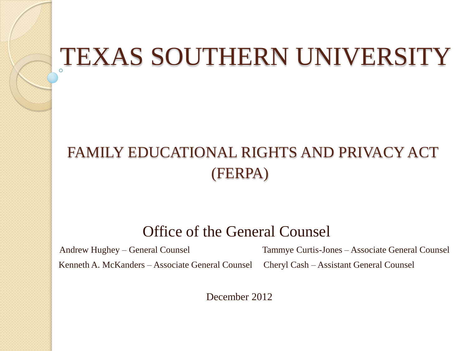### TEXAS SOUTHERN UNIVERSITY

#### FAMILY EDUCATIONAL RIGHTS AND PRIVACY ACT (FERPA)

#### Office of the General Counsel

Andrew Hughey – General Counsel Tammye Curtis-Jones – Associate General Counsel Kenneth A. McKanders – Associate General Counsel Cheryl Cash – Assistant General Counsel

December 2012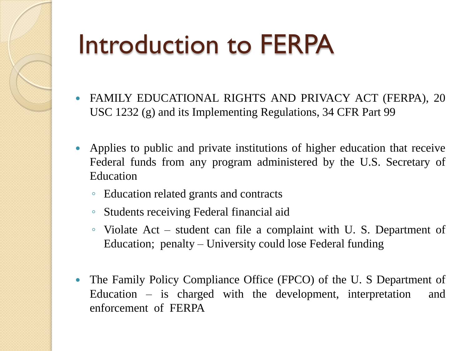## Introduction to FERPA

- FAMILY EDUCATIONAL RIGHTS AND PRIVACY ACT (FERPA), 20 USC 1232 (g) and its Implementing Regulations, 34 CFR Part 99
- Applies to public and private institutions of higher education that receive Federal funds from any program administered by the U.S. Secretary of Education
	- Education related grants and contracts
	- Students receiving Federal financial aid
	- Violate Act student can file a complaint with U. S. Department of Education; penalty – University could lose Federal funding
- The Family Policy Compliance Office (FPCO) of the U. S Department of Education – is charged with the development, interpretation and enforcement of FERPA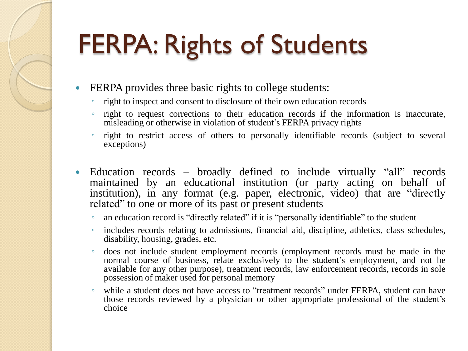# FERPA: Rights of Students

- FERPA provides three basic rights to college students:
	- right to inspect and consent to disclosure of their own education records
	- right to request corrections to their education records if the information is inaccurate, misleading or otherwise in violation of student's FERPA privacy rights
	- right to restrict access of others to personally identifiable records (subject to several exceptions)
- Education records broadly defined to include virtually "all" records maintained by an educational institution (or party acting on behalf of institution), in any format (e.g. paper, electronic, video) that are "directly related" to one or more of its past or present students
	- an education record is "directly related" if it is "personally identifiable" to the student
	- includes records relating to admissions, financial aid, discipline, athletics, class schedules, disability, housing, grades, etc.
	- does not include student employment records (employment records must be made in the normal course of business, relate exclusively to the student's employment, and not be available for any other purpose), treatment records, law enforcement records, records in sole possession of maker used for personal memory
	- while a student does not have access to "treatment records" under FERPA, student can have those records reviewed by a physician or other appropriate professional of the student's choice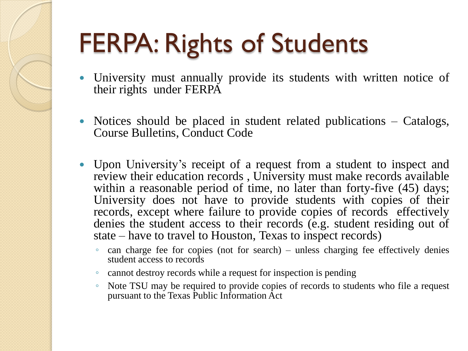# FERPA: Rights of Students

- University must annually provide its students with written notice of their rights under FERPA
- Notices should be placed in student related publications Catalogs, Course Bulletins, Conduct Code
- Upon University's receipt of a request from a student to inspect and review their education records , University must make records available within a reasonable period of time, no later than forty-five (45) days; University does not have to provide students with copies of their records, except where failure to provide copies of records effectively denies the student access to their records (e.g. student residing out of state – have to travel to Houston, Texas to inspect records)
	- can charge fee for copies (not for search) unless charging fee effectively denies student access to records
	- cannot destroy records while a request for inspection is pending
	- Note TSU may be required to provide copies of records to students who file a request pursuant to the Texas Public Information Act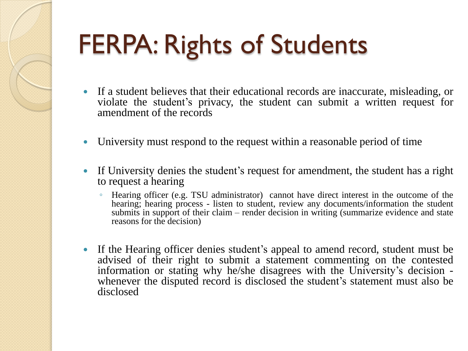# FERPA: Rights of Students

- If a student believes that their educational records are inaccurate, misleading, or violate the student's privacy, the student can submit a written request for amendment of the records
- University must respond to the request within a reasonable period of time
- If University denies the student's request for amendment, the student has a right to request a hearing
	- Hearing officer (e.g. TSU administrator) cannot have direct interest in the outcome of the hearing; hearing process - listen to student, review any documents/information the student submits in support of their claim – render decision in writing (summarize evidence and state reasons for the decision)
- If the Hearing officer denies student's appeal to amend record, student must be advised of their right to submit a statement commenting on the contested information or stating why he/she disagrees with the University's decision whenever the disputed record is disclosed the student's statement must also be disclosed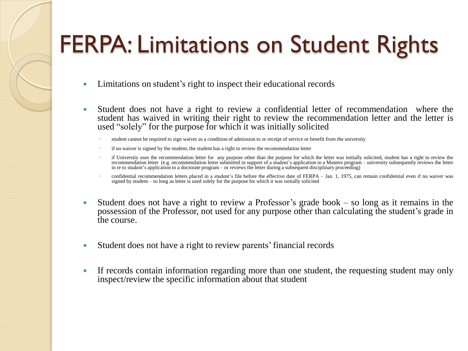### FERPA: Limitations on Student Rights

- Limitations on student's right to inspect their educational records
- Student does not have a right to review a confidential letter of recommendation where the student has waived in writing their right to review the recommendation letter and the letter is used "solely" for the purpose for which it was initially solicited
	- student cannot be required to sign waiver as a condition of admission to or receipt of service or benefit from the university
	- if no waiver is signed by the student, the student has a right to review the recommendation letter
	- if University uses the recommendation letter for any purpose other than the purpose for which the letter was initially solicited, student has a right to review the recommendation letter (e.g. recommendation letter submitted in support of a student's application to a Masters program – university subsequently reviews the letter in re to student's application to a doctorate program – or reviews the letter during a subsequent disciplinary proceeding)
	- confidential recommendation letters placed in a student's file before the effective date of FERPA Jan. 1, 1975, can remain confidential even if no waiver was signed by student – so long as letter is used solely for the purpose for which it was initially solicited
- Student does not have a right to review a Professor's grade book so long as it remains in the possession of the Professor, not used for any purpose other than calculating the student's grade in the course.
- Student does not have a right to review parents'financial records
- If records contain information regarding more than one student, the requesting student may only inspect/review the specific information about that student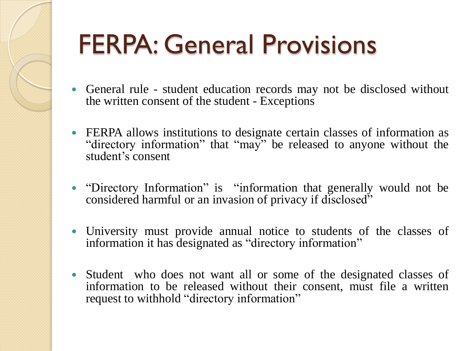# FERPA: General Provisions

- General rule student education records may not be disclosed without the written consent of the student - Exceptions
- FERPA allows institutions to designate certain classes of information as "directory information" that "may" be released to anyone without the student's consent
- "Directory Information" is "information that generally would not be considered harmful or an invasion of privacy if disclosed"
- University must provide annual notice to students of the classes of information it has designated as "directory information"
- Student who does not want all or some of the designated classes of information to be released without their consent, must file a written request to withhold "directory information"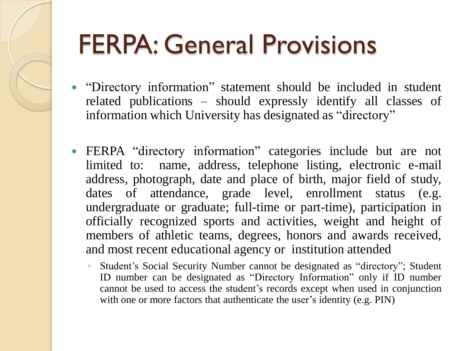## FERPA: General Provisions

- "Directory information" statement should be included in student related publications – should expressly identify all classes of information which University has designated as "directory"
- FERPA "directory information" categories include but are not limited to: name, address, telephone listing, electronic e-mail address, photograph, date and place of birth, major field of study, dates of attendance, grade level, enrollment status (e.g. undergraduate or graduate; full-time or part-time), participation in officially recognized sports and activities, weight and height of members of athletic teams, degrees, honors and awards received, and most recent educational agency or institution attended
	- Student's Social Security Number cannot be designated as "directory"; Student ID number can be designated as "Directory Information" only if ID number cannot be used to access the student's records except when used in conjunction with one or more factors that authenticate the user's identity (e.g. PIN)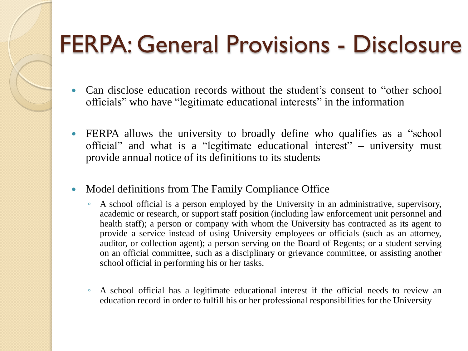- Can disclose education records without the student's consent to "other school officials" who have "legitimate educational interests" in the information
- FERPA allows the university to broadly define who qualifies as a "school" official" and what is a "legitimate educational interest" – university must provide annual notice of its definitions to its students
- Model definitions from The Family Compliance Office
	- A school official is a person employed by the University in an administrative, supervisory, academic or research, or support staff position (including law enforcement unit personnel and health staff); a person or company with whom the University has contracted as its agent to provide a service instead of using University employees or officials (such as an attorney, auditor, or collection agent); a person serving on the Board of Regents; or a student serving on an official committee, such as a disciplinary or grievance committee, or assisting another school official in performing his or her tasks.
	- A school official has a legitimate educational interest if the official needs to review an education record in order to fulfill his or her professional responsibilities for the University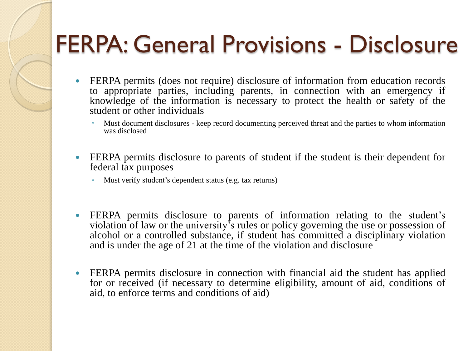- FERPA permits (does not require) disclosure of information from education records to appropriate parties, including parents, in connection with an emergency if knowledge of the information is necessary to protect the health or safety of the student or other individuals
	- Must document disclosures keep record documenting perceived threat and the parties to whom information was disclosed
- FERPA permits disclosure to parents of student if the student is their dependent for federal tax purposes
	- Must verify student's dependent status (e.g. tax returns)
- FERPA permits disclosure to parents of information relating to the student's violation of law or the university's rules or policy governing the use or possession of alcohol or a controlled substance, if student has committed a disciplinary violation and is under the age of 21 at the time of the violation and disclosure
- FERPA permits disclosure in connection with financial aid the student has applied for or received (if necessary to determine eligibility, amount of aid, conditions of aid, to enforce terms and conditions of aid)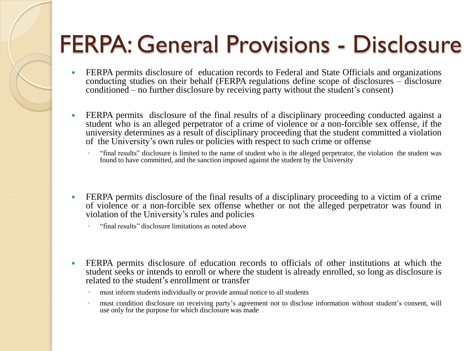- FERPA permits disclosure of education records to Federal and State Officials and organizations conducting studies on their behalf (FERPA regulations define scope of disclosures – disclosure conditioned – no further disclosure by receiving party without the student's consent)
- FERPA permits disclosure of the final results of a disciplinary proceeding conducted against a student who is an alleged perpetrator of a crime of violence or a non-forcible sex offense, if the university determines as a result of disciplinary proceeding that the student committed a violation of the University's own rules or policies with respect to such crime or offense
	- "final results" disclosure is limited to the name of student who is the alleged perpetrator, the violation the student was found to have committed, and the sanction imposed against the student by the University
- FERPA permits disclosure of the final results of a disciplinary proceeding to a victim of a crime of violence or a non-forcible sex offense whether or not the alleged perpetrator was found in violation of the University's rules and policies
	- "final results" disclosure limitations as noted above
- FERPA permits disclosure of education records to officials of other institutions at which the student seeks or intends to enroll or where the student is already enrolled, so long as disclosure is related to the student's enrollment or transfer
	- must inform students individually or provide annual notice to all students
	- must condition disclosure on receiving party's agreement not to disclose information without student's consent, will use only for the purpose for which disclosure was made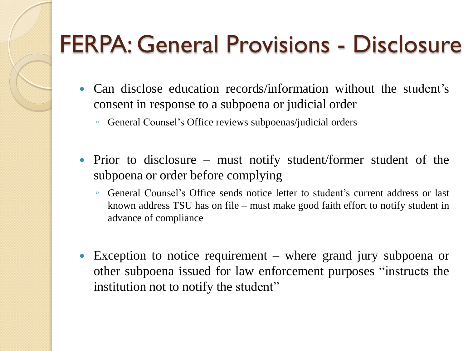- Can disclose education records/information without the student's consent in response to a subpoena or judicial order
	- General Counsel's Office reviews subpoenas/judicial orders
- Prior to disclosure must notify student/former student of the subpoena or order before complying
	- General Counsel's Office sends notice letter to student's current address or last known address TSU has on file – must make good faith effort to notify student in advance of compliance
- Exception to notice requirement where grand jury subpoena or other subpoena issued for law enforcement purposes "instructs the institution not to notify the student"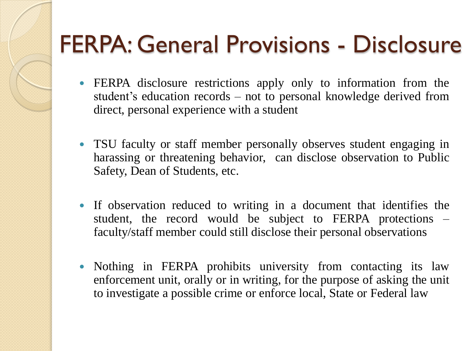- FERPA disclosure restrictions apply only to information from the student's education records – not to personal knowledge derived from direct, personal experience with a student
- TSU faculty or staff member personally observes student engaging in harassing or threatening behavior, can disclose observation to Public Safety, Dean of Students, etc.
- If observation reduced to writing in a document that identifies the student, the record would be subject to FERPA protections – faculty/staff member could still disclose their personal observations
- Nothing in FERPA prohibits university from contacting its law enforcement unit, orally or in writing, for the purpose of asking the unit to investigate a possible crime or enforce local, State or Federal law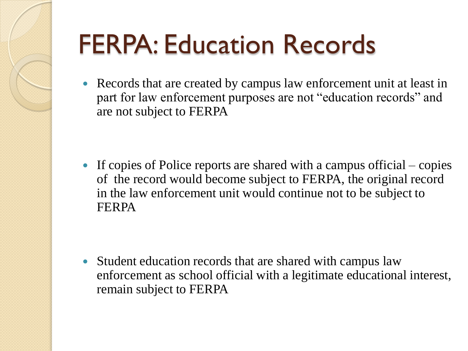# FERPA: Education Records

 Records that are created by campus law enforcement unit at least in part for law enforcement purposes are not "education records" and are not subject to FERPA

If copies of Police reports are shared with a campus official – copies of the record would become subject to FERPA, the original record in the law enforcement unit would continue not to be subject to FERPA

• Student education records that are shared with campus law enforcement as school official with a legitimate educational interest, remain subject to FERPA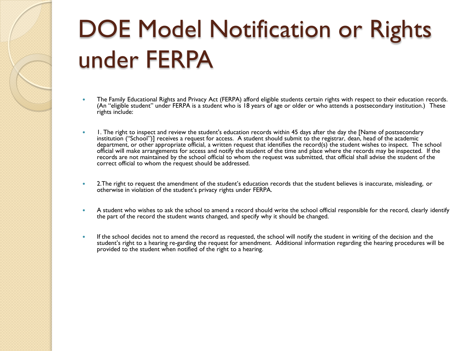### DOE Model Notification or Rights under FERPA

- The Family Educational Rights and Privacy Act (FERPA) afford eligible students certain rights with respect to their education records. (An "eligible student" under FERPA is a student who is 18 years of age or older or who attends a postsecondary institution.) These rights include:
- I. The right to inspect and review the student's education records within 45 days after the day the [Name of postsecondary institution ("School")] receives a request for access. A student should submit to the registrar, dean, head of the academic department, or other appropriate official, a written request that identifies the record(s) the student wishes to inspect. The school official will make arrangements for access and notify the student of the time and place where the records may be inspected. If the records are not maintained by the school official to whom the request was submitted, that official shall advise the student of the correct official to whom the request should be addressed.
- 2.The right to request the amendment of the student's education records that the student believes is inaccurate, misleading, or otherwise in violation of the student's privacy rights under FERPA.
- A student who wishes to ask the school to amend a record should write the school official responsible for the record, clearly identify the part of the record the student wants changed, and specify why it should be changed.
- If the school decides not to amend the record as requested, the school will notify the student in writing of the decision and the student's right to a hearing re-garding the request for amendment. Additional information regarding the hearing procedures will be provided to the student when notified of the right to a hearing.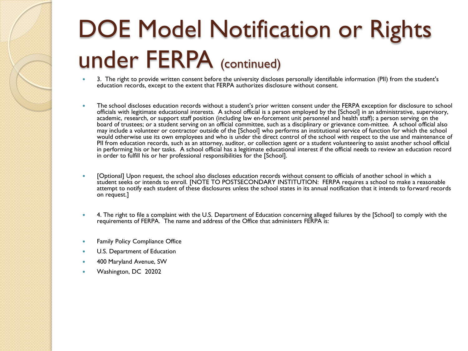### DOE Model Notification or Rights under FERPA (continued)

- 3. The right to provide written consent before the university discloses personally identifiable information (PII) from the student's education records, except to the extent that FERPA authorizes disclosure without consent.
- The school discloses education records without a student's prior written consent under the FERPA exception for disclosure to school officials with legitimate educational interests. A school official is a person employed by the [School] in an administrative, supervisory, academic, research, or support staff position (including law en-forcement unit personnel and health staff); a person serving on the board of trustees; or a student serving on an official committee, such as a disciplinary or grievance com-mittee. A school official also may include a volunteer or contractor outside of the [School] who performs an institutional service of function for which the school would otherwise use its own employees and who is under the direct control of the school with respect to the use and maintenance of PII from education records, such as an attorney, auditor, or collection agent or a student volunteering to assist another school official in performing his or her tasks. A school official has a legitimate educational interest if the official needs to review an education record in order to fulfill his or her professional responsibilities for the [School].
- [Optional] Upon request, the school also discloses education records without consent to officials of another school in which a student seeks or intends to enroll. [NOTE TO POSTSECONDARY INSTITUTION: FERPA requires a school to make a reasonable attempt to notify each student of these disclosures unless the school states in its annual notification that it intends to forward records on request.]
- 4. The right to file a complaint with the U.S. Department of Education concerning alleged failures by the [School] to comply with the requirements of FERPA. The name and address of the Office that administers FERPA is:
- Family Policy Compliance Office
- U.S. Department of Education
- 400 Maryland Avenue, SW
- Washington, DC 20202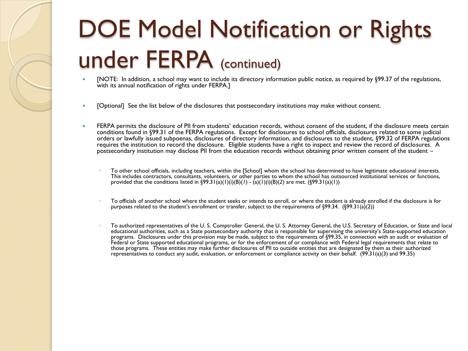### DOE Model Notification or Rights under FERPA (continued)

- [NOTE: In addition, a school may want to include its directory information public notice, as required by §99.37 of the regulations, with its annual notification of rights under FERPA.]
- [Optional] See the list below of the disclosures that postsecondary institutions may make without consent.
- FERPA permits the disclosure of PII from students' education records, without consent of the student, if the disclosure meets certain conditions found in §99.31 of the FERPA regulations. Except for disclosures to school officials, disclosures related to some judicial orders or lawfully issued subpoenas, disclosures of directory information, and disclosures to the student, §99.32 of FERPA regulations requires the institution to record the disclosure. Eligible students have a right to inspect and review the record of disclosures. A postsecondary institution may disclose PII from the education records without obtaining prior written consent of the student –
	- To other school officials, including teachers, within the [School] whom the school has determined to have legitimate educational interests. This includes contractors, consultants, volunteers, or other parties to whom the school has outsourced institutional services or functions, provided that the conditions listed in  $\frac{699.31(a)(1)(i)(B)(1) - (a)(1)(i)(B)(2)}{2}$  are met.  $\frac{699.31(a)(1)}{2}$
	- To officials of another school where the student seeks or intends to enroll, or where the student is already enrolled if the disclosure is for purposes related to the student's enrollment or transfer, subject to the requirements of §99.34. (§99.31(a)(2))
	- To authorized representatives of the U. S. Comptroller General, the U. S. Attorney General, the U.S. Secretary of Education, or State and local educational authorities, such as a State postsecondary authority that is responsible for supervising the university's State-supported education programs. Disclosures under this provision may be made, subject to the requirements of §99.35, in connection with an audit or evaluation of Federal or State supported educational programs, or for the enforcement of or compliance with Federal legal requirements that relate to those programs. These entities may make further disclosures of PII to outside entities that are designated by them as their authorized representatives to conduct any audit, evaluation, or enforcement or compliance activity on their behalf. (99.31(a)(3) and 99.35)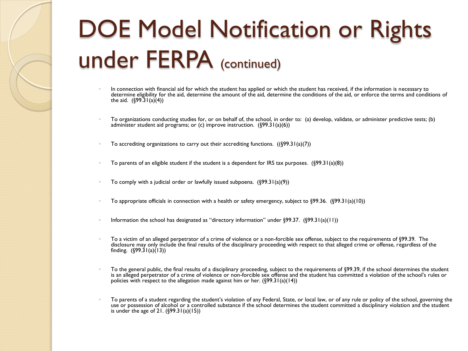### DOE Model Notification or Rights under FERPA (continued)

- In connection with financial aid for which the student has applied or which the student has received, if the information is necessary to determine eligibility for the aid, determine the amount of the aid, determine the conditions of the aid, or enforce the terms and conditions of the aid.  $(699.31(a)(4))$
- To organizations conducting studies for, or on behalf of, the school, in order to: (a) develop, validate, or administer predictive tests; (b) administer student aid programs; or (c) improve instruction.  $(\sqrt{99.31(a)(6)})$
- To accrediting organizations to carry out their accrediting functions.  $((\xi 99.31(a)(7)))$
- To parents of an eligible student if the student is a dependent for IRS tax purposes.  $(\sqrt{99.31(a)(8)})$
- To comply with a judicial order or lawfully issued subpoena.  $(\frac{699.31(a)(9)}{2})$
- To appropriate officials in connection with a health or safety emergency, subject to  $\S99.36$ .  $(\S99.31(a)(10))$
- Information the school has designated as "directory information" under  $\S99.37.$   $(\S99.31(a)(11))$
- To a victim of an alleged perpetrator of a crime of violence or a non-forcible sex offense, subject to the requirements of §99.39. The disclosure may only include the final results of the disciplinary proceeding with respect to that alleged crime or offense, regardless of the finding.  $($ §99.3 $1$ (a) $(13)$ )
- To the general public, the final results of a disciplinary proceeding, subject to the requirements of §99.39, if the school determines the student is an alleged perpetrator of a crime of violence or non-forcible sex offense and the student has committed a violation of the school's rules or policies with respect to the allegation made against him or her.  $(\frac{699.31(a)(14)}{2})$
- To parents of a student regarding the student's violation of any Federal, State, or local law, or of any rule or policy of the school, governing the use or possession of alcohol or a controlled substance if the school determines the student committed a disciplinary violation and the student is under the age of 21.  $({\sqrt{99.31(a)(15)}})$